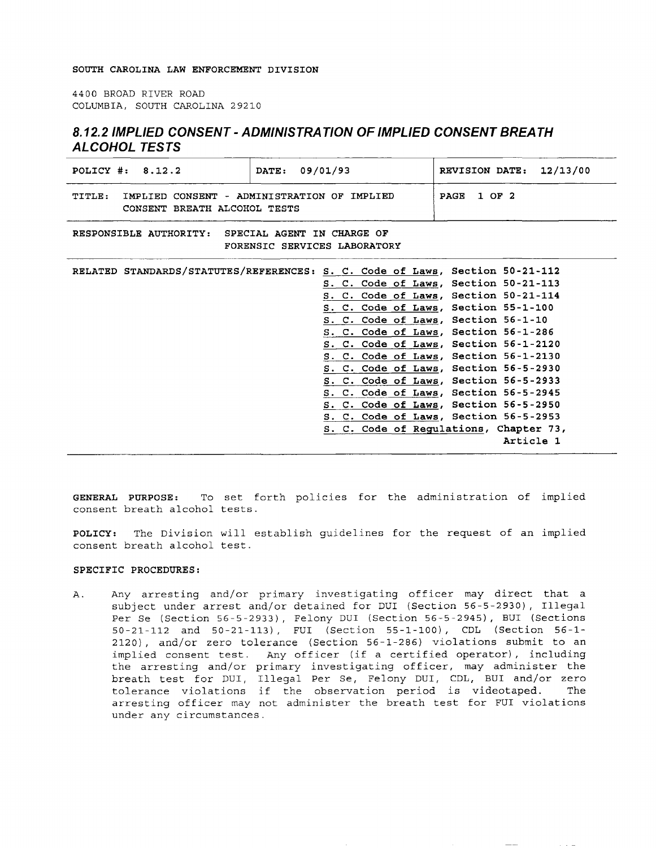## **SOUTH CAROLINA LAW ENFORCEMENT DIVISION**

4400 BROAD RIVER ROAD COLUMBIA, SOUTH CAROLINA 29210

## **8. 12.2 IMPLIED CONSENT-ADMINISTRATION OF IMPLIED CONSENT BREATH ALCOHOL TESTS**

| POLICY $\#: 8.12.2$                                                                   | DATE: 09/01/93                                                               | REVISION DATE: 12/13/00                                                                                                                                                                                                                                                                                                                                                                                                                                                                                                                                     |
|---------------------------------------------------------------------------------------|------------------------------------------------------------------------------|-------------------------------------------------------------------------------------------------------------------------------------------------------------------------------------------------------------------------------------------------------------------------------------------------------------------------------------------------------------------------------------------------------------------------------------------------------------------------------------------------------------------------------------------------------------|
| IMPLIED CONSENT - ADMINISTRATION OF IMPLIED<br>TITLE:<br>CONSENT BREATH ALCOHOL TESTS |                                                                              | PAGE 1 OF 2                                                                                                                                                                                                                                                                                                                                                                                                                                                                                                                                                 |
| RESPONSIBLE AUTHORITY: SPECIAL AGENT IN CHARGE OF<br>FORENSIC SERVICES LABORATORY     |                                                                              |                                                                                                                                                                                                                                                                                                                                                                                                                                                                                                                                                             |
|                                                                                       | RELATED STANDARDS/STATUTES/REFERENCES: S. C. Code of Laws, Section 50-21-112 | S. C. Code of Laws, Section 50-21-113<br>S. C. Code of Laws, Section 50-21-114<br>S. C. Code of Laws, Section 55-1-100<br>S. C. Code of Laws, Section 56-1-10<br>S. C. Code of Laws, Section 56-1-286<br>S. C. Code of Laws, Section 56-1-2120<br>S. C. Code of Laws, Section 56-1-2130<br>S. C. Code of Laws, Section 56-5-2930<br>S. C. Code of Laws, Section 56-5-2933<br>S. C. Code of Laws, Section 56-5-2945<br>S. C. Code of Laws, Section 56-5-2950<br>S. C. Code of Laws, Section 56-5-2953<br>S. C. Code of Regulations, Chapter 73,<br>Article 1 |

**GENERAL PURPOSE:** To set forth policies for the administration of implied consent breath alcohol tests.

**POLICY:** The Division will establish guidelines for the request of an implied consent breath alcohol test.

## **SPECIFIC PROCEDURES:**

A. Any arresting and/or primary investigating officer may direct that a subject under arrest and/or detained for DUI (Section 56-5-2930), Illegal Per Se (Section 56-5-2933), Felony DUI (Section 56-5-2945), BUI (Sections 50-21-112 and 50-21-113), FUI (Section 55-1-100), CDL (Section 56-1- 2120), and/or zero tolerance (Section 56-1-286) violations submit to an implied consent test. Any officer (if a certified operator), including the arresting and/or primary investigating officer, may administer the breath test for DUI, Illegal Per Se, Felony DUI, CDL, BUI and/or zero tolerance violations if the observation period is videotaped. The arresting officer may not administer the breath test for FUI violations under any circumstances.